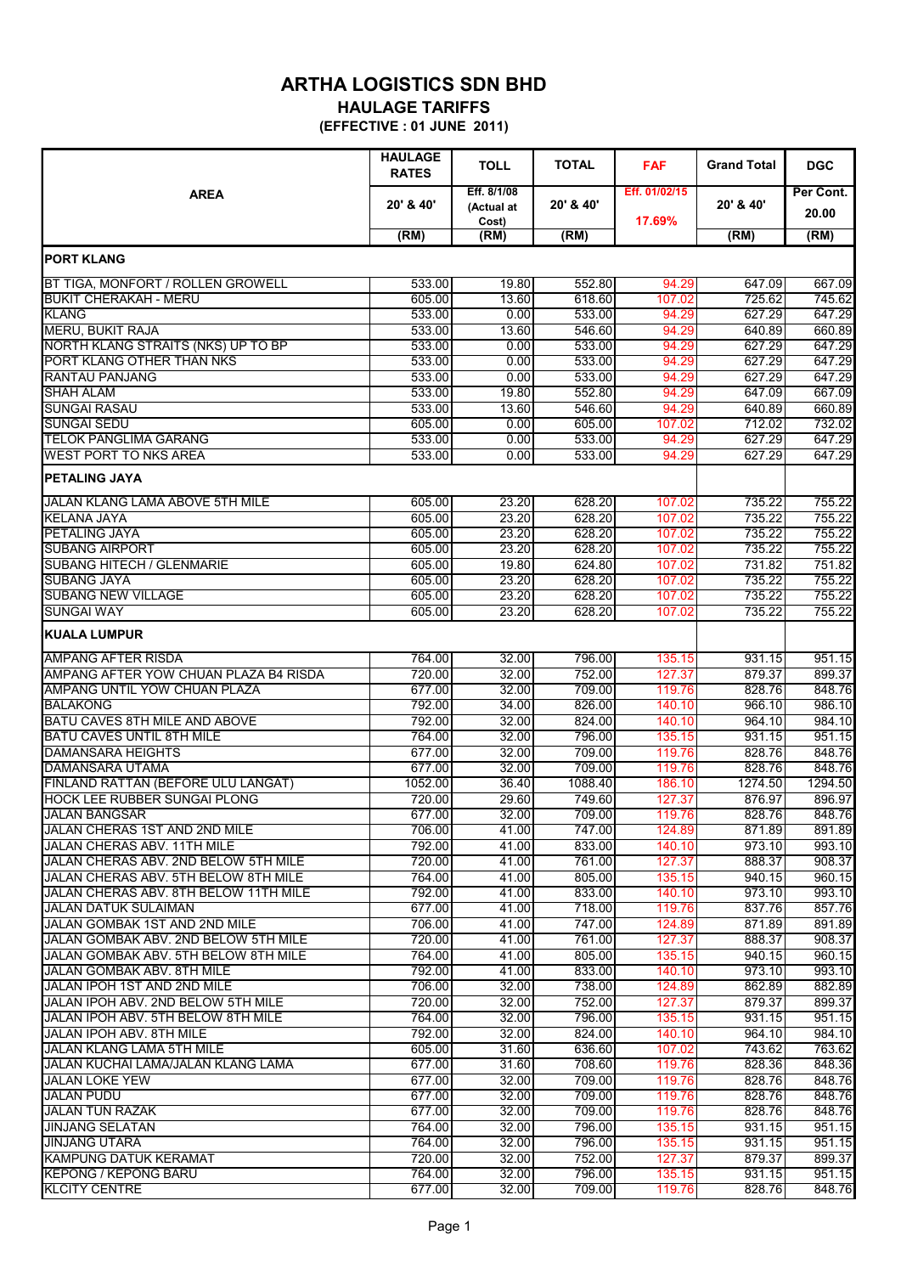## **ARTHA LOGISTICS SDN BHD HAULAGE TARIFFS**

**(EFFECTIVE : 01 JUNE 2011)**

|                                                                     | <b>HAULAGE</b><br><b>RATES</b> | <b>TOLL</b>               | <b>TOTAL</b>     | <b>FAF</b>              | <b>Grand Total</b> | <b>DGC</b>         |
|---------------------------------------------------------------------|--------------------------------|---------------------------|------------------|-------------------------|--------------------|--------------------|
| <b>AREA</b>                                                         | 20' & 40'                      | Eff. 8/1/08<br>(Actual at | 20' & 40'        | Eff. 01/02/15<br>17.69% | 20' & 40'          | Per Cont.<br>20.00 |
|                                                                     | (RM)                           | Cost)<br>(RM)             | (RM)             |                         | (RM)               | (RM)               |
| <b>PORT KLANG</b>                                                   |                                |                           |                  |                         |                    |                    |
|                                                                     |                                |                           |                  |                         |                    |                    |
| BT TIGA, MONFORT / ROLLEN GROWELL<br><b>BUKIT CHERAKAH - MERU</b>   | 533.00<br>605.00               | 19.80<br>13.60            | 552.80<br>618.60 | 94.29<br>107.02         | 647.09<br>725.62   | 667.09<br>745.62   |
| <b>KLANG</b>                                                        | 533.00                         | 0.00                      | 533.00           | 94.29                   | 627.29             | 647.29             |
| <b>MERU, BUKIT RAJA</b>                                             | 533.00                         | 13.60                     | 546.60           | 94.29                   | 640.89             | 660.89             |
| NORTH KLANG STRAITS (NKS) UP TO BP                                  | 533.00                         | 0.00                      | 533.00           | 94.29                   | 627.29             | 647.29             |
| PORT KLANG OTHER THAN NKS                                           | 533.00                         | 0.00                      | 533.00           | 94.29                   | 627.29             | 647.29             |
| <b>RANTAU PANJANG</b>                                               | 533.00                         | 0.00                      | 533.00           | 94.29                   | 627.29             | 647.29             |
| <b>SHAH ALAM</b>                                                    | 533.00                         | 19.80                     | 552.80           | 94.29                   | 647.09             | 667.09             |
| <b>SUNGAI RASAU</b>                                                 | 533.00                         | 13.60                     | 546.60           | 94.29                   | 640.89             | 660.89             |
| <b>SUNGAI SEDU</b>                                                  | 605.00                         | 0.00                      | 605.00           | 107.02                  | 712.02             | 732.02             |
| <b>TELOK PANGLIMA GARANG</b>                                        | 533.00                         | 0.00                      | 533.00           | 94.29                   | 627.29             | 647.29             |
| <b>WEST PORT TO NKS AREA</b>                                        | 533.00                         | 0.00                      | 533.00           | 94.29                   | 627.29             | 647.29             |
| <b>PETALING JAYA</b>                                                |                                |                           |                  |                         |                    |                    |
| JALAN KLANG LAMA ABOVE 5TH MILE                                     | 605.00                         | 23.20                     | 628.20           | 107.02                  | 735.22             | 755.22             |
| <b>KELANA JAYA</b>                                                  | 605.00                         | 23.20                     | 628.20           | 107.02                  | 735.22             | 755.22             |
| PETALING JAYA                                                       | 605.00                         | 23.20                     | 628.20           | 107.02                  | 735.22             | 755.22             |
| <b>SUBANG AIRPORT</b>                                               | 605.00                         | 23.20                     | 628.20           | 107.02                  | 735.22             | 755.22             |
| <b>SUBANG HITECH / GLENMARIE</b>                                    | 605.00                         | 19.80                     | 624.80           | 107.02                  | 731.82             | 751.82             |
| <b>SUBANG JAYA</b>                                                  | 605.00                         | 23.20                     | 628.20           | 107.02                  | 735.22             | 755.22             |
| <b>SUBANG NEW VILLAGE</b>                                           | 605.00                         | 23.20                     | 628.20           | 107.02                  | 735.22             | 755.22             |
| <b>SUNGAI WAY</b>                                                   | 605.00                         | 23.20                     | 628.20           | 107.02                  | 735.22             | 755.22             |
| <b>KUALA LUMPUR</b>                                                 |                                |                           |                  |                         |                    |                    |
| <b>AMPANG AFTER RISDA</b>                                           | 764.00                         | 32.00                     | 796.00           | 135.15                  | 931.15             | 951.15             |
| AMPANG AFTER YOW CHUAN PLAZA B4 RISDA                               | 720.00                         | 32.00                     | 752.00           | 127.37                  | 879.37             | 899.37             |
| AMPANG UNTIL YOW CHUAN PLAZA                                        | 677.00                         | 32.00                     | 709.00           | 119.76                  | 828.76             | 848.76             |
| <b>BALAKONG</b>                                                     | 792.00                         | 34.00                     | 826.00           | 140.10                  | 966.10             | 986.10             |
| BATU CAVES 8TH MILE AND ABOVE                                       | 792.00                         | 32.00                     | 824.00           | 140.10                  | 964.10             | 984.10             |
| <b>BATU CAVES UNTIL 8TH MILE</b><br><b>DAMANSARA HEIGHTS</b>        | 764.00<br>677.00               | 32.00<br>32.00            | 796.00<br>709.00 | 135.15<br>119.76        | 931.15<br>828.76   | 951.15<br>848.76   |
| DAMANSARA UTAMA                                                     | 677.00                         | 32.00                     | 709.00           | 119.76                  | 828.76             | 848.76             |
| FINLAND RATTAN (BEFORE ULU LANGAT)                                  | 1052.00                        | 36.40                     | 1088.40          | 186.10                  | 1274.50            | 1294.50            |
| <b>HOCK LEE RUBBER SUNGAI PLONG</b>                                 | 720.00                         | 29.60                     | 749.60           | 127.37                  | 876.97             | 896.97             |
| <b>JALAN BANGSAR</b>                                                | 677.00                         | 32.00                     | 709.00           | 119.76                  | 828.76             | 848.76             |
| JALAN CHERAS 1ST AND 2ND MILE                                       | 706.00                         | 41.00                     | 747.00           | 124.89                  | 871.89             | 891.89             |
| JALAN CHERAS ABV. 11TH MILE                                         | 792.00                         | 41.00                     | 833.00           | 140.10                  | 973.10             | 993.10             |
| JALAN CHERAS ABV. 2ND BELOW 5TH MILE                                | 720.00                         | 41.00                     | 761.00           | 127.37                  | 888.37             | 908.37             |
| JALAN CHERAS ABV, 5TH BELOW 8TH MILE                                | 764.00                         | 41.00                     | 805.00           | 135.15                  | 940.15             | 960.15             |
| JALAN CHERAS ABV, 8TH BELOW 11TH MILE                               | 792.00                         | 41.00                     | 833.00           | 140.10                  | 973.10             | 993.10             |
| <b>JALAN DATUK SULAIMAN</b>                                         | 677.00                         | 41.00                     | 718.00           | 119.76                  | 837.76             | 857.76             |
| JALAN GOMBAK 1ST AND 2ND MILE                                       | 706.00                         | 41.00                     | 747.00           | 124.89                  | 871.89             | 891.89             |
| JALAN GOMBAK ABV. 2ND BELOW 5TH MILE                                | 720.00                         | 41.00                     | 761.00           | 127.37                  | 888.37             | 908.37             |
| JALAN GOMBAK ABV. 5TH BELOW 8TH MILE                                | 764.00                         | 41.00                     | 805.00           | 135.15                  | 940.15             | 960.15             |
| JALAN GOMBAK ABV. 8TH MILE                                          | 792.00                         | 41.00                     | 833.00           | 140.10                  | 973.10             | 993.10             |
| JALAN IPOH 1ST AND 2ND MILE                                         | 706.00                         | 32.00                     | 738.00           | 124.89                  | 862.89             | 882.89             |
| JALAN IPOH ABV. 2ND BELOW 5TH MILE                                  | 720.00                         | 32.00                     | 752.00           | 127.37                  | 879.37             | 899.37             |
| JALAN IPOH ABV. 5TH BELOW 8TH MILE                                  | 764.00                         | 32.00                     | 796.00           | 135.15                  | 931.15             | 951.15             |
| <b>JALAN IPOH ABV. 8TH MILE</b><br><b>JALAN KLANG LAMA 5TH MILE</b> | 792.00                         | 32.00                     | 824.00           | 140.10                  | 964.10<br>743.62   | 984.10<br>763.62   |
| JALAN KUCHAI LAMA/JALAN KLANG LAMA                                  | 605.00<br>677.00               | 31.60<br>31.60            | 636.60<br>708.60 | 107.02<br>119.76        | 828.36             | 848.36             |
| <b>JALAN LOKE YEW</b>                                               | 677.00                         | 32.00                     | 709.00           | 119.76                  | 828.76             | 848.76             |
| <b>JALAN PUDU</b>                                                   | 677.00                         | 32.00                     | 709.00           | 119.76                  | 828.76             | 848.76             |
| <b>JALAN TUN RAZAK</b>                                              | 677.00                         | 32.00                     | 709.00           | 119.76                  | 828.76             | 848.76             |
| <b>JINJANG SELATAN</b>                                              | 764.00                         | 32.00                     | 796.00           | 135.15                  | 931.15             | 951.15             |
| <b>JINJANG UTARA</b>                                                | 764.00                         | 32.00                     | 796.00           | 135.15                  | 931.15             | 951.15             |
| <b>KAMPUNG DATUK KERAMAT</b>                                        | 720.00                         | 32.00                     | 752.00           | 127.37                  | 879.37             | 899.37             |
| <b>KEPONG / KEPONG BARU</b>                                         | 764.00                         | 32.00                     | 796.00           | 135.15                  | 931.15             | 951.15             |
| <b>KLCITY CENTRE</b>                                                | 677.00                         | 32.00                     | 709.00           | 119.76                  | 828.76             | 848.76             |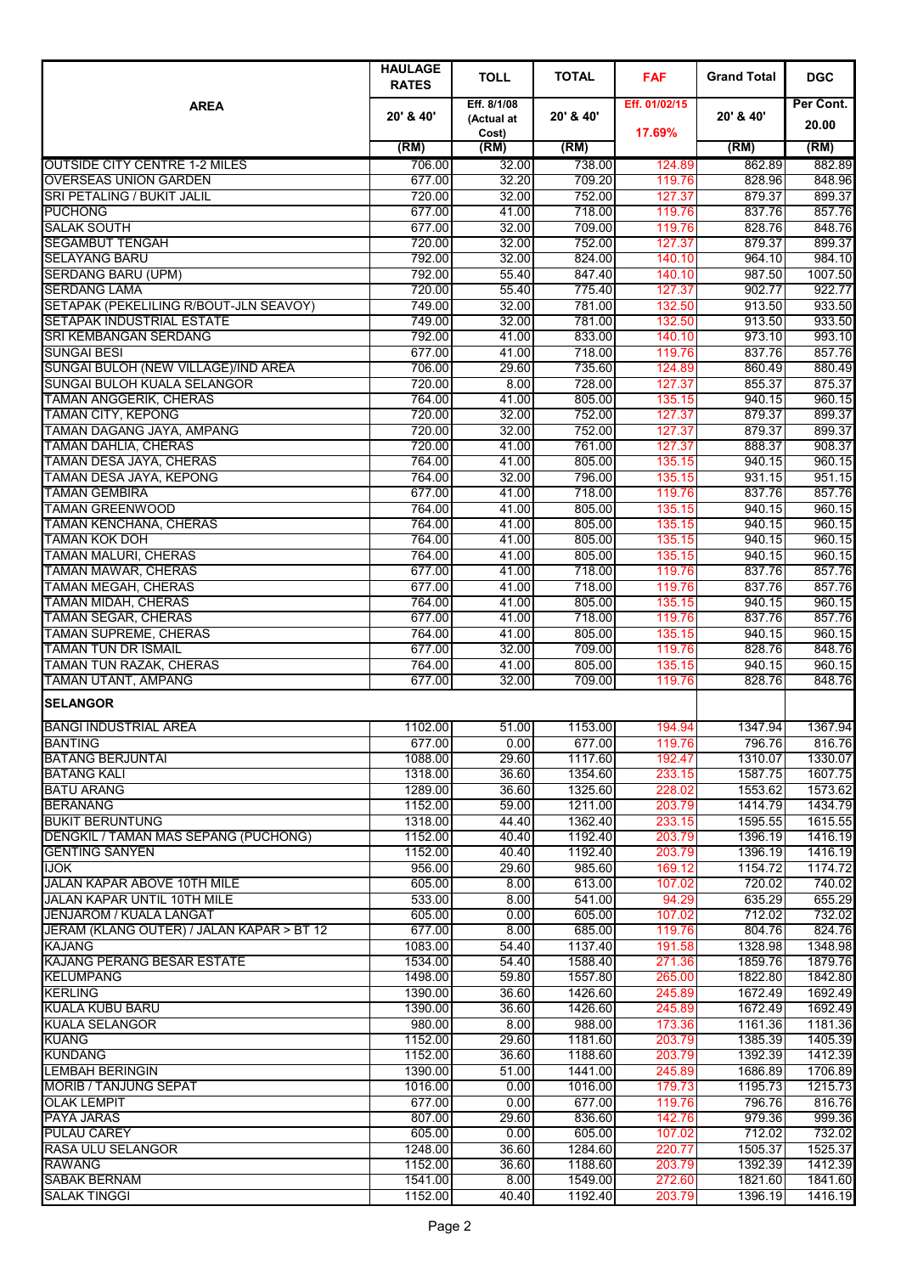|                                                                      | <b>HAULAGE</b><br><b>RATES</b> | <b>TOLL</b>               | <b>TOTAL</b>       | <b>FAF</b>       | <b>Grand Total</b> | <b>DGC</b>         |
|----------------------------------------------------------------------|--------------------------------|---------------------------|--------------------|------------------|--------------------|--------------------|
| <b>AREA</b>                                                          | 20' & 40'                      | Eff. 8/1/08<br>(Actual at | 20' & 40'          | Eff. 01/02/15    | 20' & 40'          | Per Cont.<br>20.00 |
|                                                                      | (RM)                           | Cost)<br>(RM)             | (RM)               | 17.69%           | (RM)               | (RM)               |
| <b>OUTSIDE CITY CENTRE 1-2 MILES</b>                                 | 706.00                         | 32.00                     | 738.00             | 124.89           | 862.89             | 882.89             |
| <b>OVERSEAS UNION GARDEN</b>                                         | 677.00                         | 32.20                     | 709.20             | 119.76           | 828.96             | 848.96             |
| <b>SRI PETALING / BUKIT JALIL</b>                                    | 720.00                         | 32.00                     | 752.00             | 127.37           | 879.37             | 899.37             |
| <b>PUCHONG</b>                                                       | 677.00                         | 41.00                     | 718.00             | 119.76           | 837.76             | 857.76             |
| <b>SALAK SOUTH</b>                                                   | 677.00                         | 32.00                     | 709.00             | 119.76           | 828.76             | 848.76             |
| <b>SEGAMBUT TENGAH</b><br><b>SELAYANG BARU</b>                       | 720.00<br>792.00               | 32.00<br>32.00            | 752.00<br>824.00   | 127.37<br>140.10 | 879.37<br>964.10   | 899.37<br>984.10   |
| <b>SERDANG BARU (UPM)</b>                                            | 792.00                         | 55.40                     | 847.40             | 140.10           | 987.50             | 1007.50            |
| <b>SERDANG LAMA</b>                                                  | 720.00                         | 55.40                     | 775.40             | 127.37           | 902.77             | 922.77             |
| SETAPAK (PEKELILING R/BOUT-JLN SEAVOY)                               | 749.00                         | 32.00                     | 781.00             | 132.50           | 913.50             | 933.50             |
| <b>SETAPAK INDUSTRIAL ESTATE</b>                                     | 749.00                         | 32.00                     | 781.00             | 132.50           | 913.50             | 933.50             |
| <b>SRI KEMBANGAN SERDANG</b>                                         | 792.00                         | 41.00                     | 833.00             | 140.10           | 973.10             | 993.10             |
| <b>SUNGAI BESI</b>                                                   | 677.00<br>706.00               | 41.00<br>29.60            | 718.00<br>735.60   | 119.76           | 837.76<br>860.49   | 857.76<br>880.49   |
| SUNGAI BULOH (NEW VILLAGE)/IND AREA<br>SUNGAI BULOH KUALA SELANGOR   | 720.00                         | 8.00                      | 728.00             | 124.89<br>127.37 | 855.37             | 875.37             |
| <b>TAMAN ANGGERIK, CHERAS</b>                                        | 764.00                         | 41.00                     | 805.00             | 135.15           | 940.15             | 960.15             |
| <b>TAMAN CITY, KEPONG</b>                                            | 720.00                         | 32.00                     | 752.00             | 127.37           | 879.37             | 899.37             |
| TAMAN DAGANG JAYA, AMPANG                                            | 720.00                         | 32.00                     | 752.00             | 127.37           | 879.37             | 899.37             |
| <b>TAMAN DAHLIA, CHERAS</b>                                          | 720.00                         | 41.00                     | 761.00             | 127.37           | 888.37             | 908.37             |
| <b>TAMAN DESA JAYA, CHERAS</b>                                       | 764.00                         | 41.00                     | 805.00             | 135.15           | 940.15             | 960.15             |
| <b>TAMAN DESA JAYA, KEPONG</b><br><b>TAMAN GEMBIRA</b>               | 764.00<br>677.00               | 32.00<br>41.00            | 796.00<br>718.00   | 135.15<br>119.76 | 931.15<br>837.76   | 951.15<br>857.76   |
| <b>TAMAN GREENWOOD</b>                                               | 764.00                         | 41.00                     | 805.00             | 135.15           | 940.15             | 960.15             |
| <b>TAMAN KENCHANA, CHERAS</b>                                        | 764.00                         | 41.00                     | 805.00             | 135.15           | 940.15             | 960.15             |
| <b>TAMAN KOK DOH</b>                                                 | 764.00                         | 41.00                     | 805.00             | 135.15           | 940.15             | 960.15             |
| <b>TAMAN MALURI, CHERAS</b>                                          | 764.00                         | 41.00                     | 805.00             | 135.15           | 940.15             | 960.15             |
| <b>TAMAN MAWAR, CHERAS</b>                                           | 677.00                         | 41.00                     | 718.00             | 119.76           | 837.76             | 857.76             |
| <b>TAMAN MEGAH, CHERAS</b>                                           | 677.00                         | 41.00                     | 718.00             | 119.76           | 837.76             | 857.76             |
| <b>TAMAN MIDAH, CHERAS</b><br><b>TAMAN SEGAR, CHERAS</b>             | 764.00<br>677.00               | 41.00<br>41.00            | 805.00<br>718.00   | 135.15<br>119.76 | 940.15<br>837.76   | 960.15<br>857.76   |
| <b>TAMAN SUPREME, CHERAS</b>                                         | 764.00                         | 41.00                     | 805.00             | 135.15           | 940.15             | 960.15             |
| <b>TAMAN TUN DR ISMAIL</b>                                           | 677.00                         | 32.00                     | 709.00             | 119.76           | 828.76             | 848.76             |
| <b>TAMAN TUN RAZAK, CHERAS</b>                                       | 764.00                         | 41.00                     | 805.00             | 135.15           | 940.15             | 960.15             |
| <b>TAMAN UTANT, AMPANG</b>                                           | 677.00                         | 32.00                     | 709.00             | 119.76           | 828.76             | 848.76             |
| <b>SELANGOR</b>                                                      |                                |                           |                    |                  |                    |                    |
| <b>BANGI INDUSTRIAL AREA</b>                                         | 1102.00                        | 51.00                     | 1153.00            | 194.94           | 1347.94            | 1367.94            |
| <b>BANTING</b>                                                       | 677.00                         | 0.00                      | 677.00             | 119.76           | 796.76             | 816.76             |
| <b>BATANG BERJUNTAI</b>                                              | 1088.00                        | 29.60                     | 1117.60            | 192.47           | 1310.07            | 1330.07            |
| <b>BATANG KALI</b><br><b>BATU ARANG</b>                              | 1318.00<br>1289.00             | 36.60<br>36.60            | 1354.60<br>1325.60 | 233.15<br>228.02 | 1587.75<br>1553.62 | 1607.75<br>1573.62 |
| <b>BERANANG</b>                                                      | 1152.00                        | 59.00                     | 1211.00            | 203.79           | 1414.79            | 1434.79            |
| <b>BUKIT BERUNTUNG</b>                                               | 1318.00                        | 44.40                     | 1362.40            | 233.15           | 1595.55            | 1615.55            |
| DENGKIL / TAMAN MAS SEPANG (PUCHONG)                                 | 1152.00                        | 40.40                     | 1192.40            | 203.79           | 1396.19            | 1416.19            |
| <b>GENTING SANYEN</b>                                                | 1152.00                        | 40.40                     | 1192.40            | 203.79           | 1396.19            | 1416.19            |
| <b>IJOK</b>                                                          | 956.00                         | 29.60                     | 985.60             | 169.12           | 1154.72            | 1174.72            |
| JALAN KAPAR ABOVE 10TH MILE                                          | 605.00                         | 8.00                      | 613.00             | 107.02           | 720.02             | 740.02             |
| <b>JALAN KAPAR UNTIL 10TH MILE</b><br><b>JENJAROM / KUALA LANGAT</b> | 533.00<br>605.00               | 8.00<br>0.00              | 541.00<br>605.00   | 94.29<br>107.02  | 635.29<br>712.02   | 655.29<br>732.02   |
| JERAM (KLANG OUTER) / JALAN KAPAR > BT 12                            | 677.00                         | 8.00                      | 685.00             | 119.76           | 804.76             | 824.76             |
| <b>KAJANG</b>                                                        | 1083.00                        | 54.40                     | 1137.40            | 191.58           | 1328.98            | 1348.98            |
| <b>KAJANG PERANG BESAR ESTATE</b>                                    | 1534.00                        | 54.40                     | 1588.40            | 271.36           | 1859.76            | 1879.76            |
| <b>KELUMPANG</b>                                                     | 1498.00                        | 59.80                     | 1557.80            | 265.00           | 1822.80            | 1842.80            |
| <b>KERLING</b>                                                       | 1390.00                        | 36.60                     | 1426.60            | 245.89           | 1672.49            | 1692.49            |
| <b>KUALA KUBU BARU</b>                                               | 1390.00                        | 36.60                     | 1426.60            | 245.89           | 1672.49            | 1692.49            |
| <b>KUALA SELANGOR</b><br><b>KUANG</b>                                | 980.00<br>1152.00              | 8.00<br>29.60             | 988.00<br>1181.60  | 173.36<br>203.79 | 1161.36<br>1385.39 | 1181.36<br>1405.39 |
| <b>KUNDANG</b>                                                       | 1152.00                        | 36.60                     | 1188.60            | 203.79           | 1392.39            | 1412.39            |
| <b>LEMBAH BERINGIN</b>                                               | 1390.00                        | 51.00                     | 1441.00            | 245.89           | 1686.89            | 1706.89            |
| <b>MORIB / TANJUNG SEPAT</b>                                         | 1016.00                        | 0.00                      | 1016.00            | 179.73           | 1195.73            | 1215.73            |
| <b>OLAK LEMPIT</b>                                                   | 677.00                         | 0.00                      | 677.00             | 119.76           | 796.76             | 816.76             |
| <b>PAYA JARAS</b>                                                    | 807.00                         | 29.60                     | 836.60             | 142.76           | 979.36             | 999.36             |
| <b>PULAU CAREY</b>                                                   | 605.00                         | 0.00                      | 605.00             | 107.02           | 712.02             | 732.02             |
| <b>RASA ULU SELANGOR</b><br><b>RAWANG</b>                            | 1248.00<br>1152.00             | 36.60<br>36.60            | 1284.60<br>1188.60 | 220.77<br>203.79 | 1505.37<br>1392.39 | 1525.37<br>1412.39 |
| <b>SABAK BERNAM</b>                                                  | 1541.00                        | 8.00                      | 1549.00            | 272.60           | 1821.60            | 1841.60            |
| <b>SALAK TINGGI</b>                                                  | 1152.00                        | 40.40                     | 1192.40            | 203.79           | 1396.19            | 1416.19            |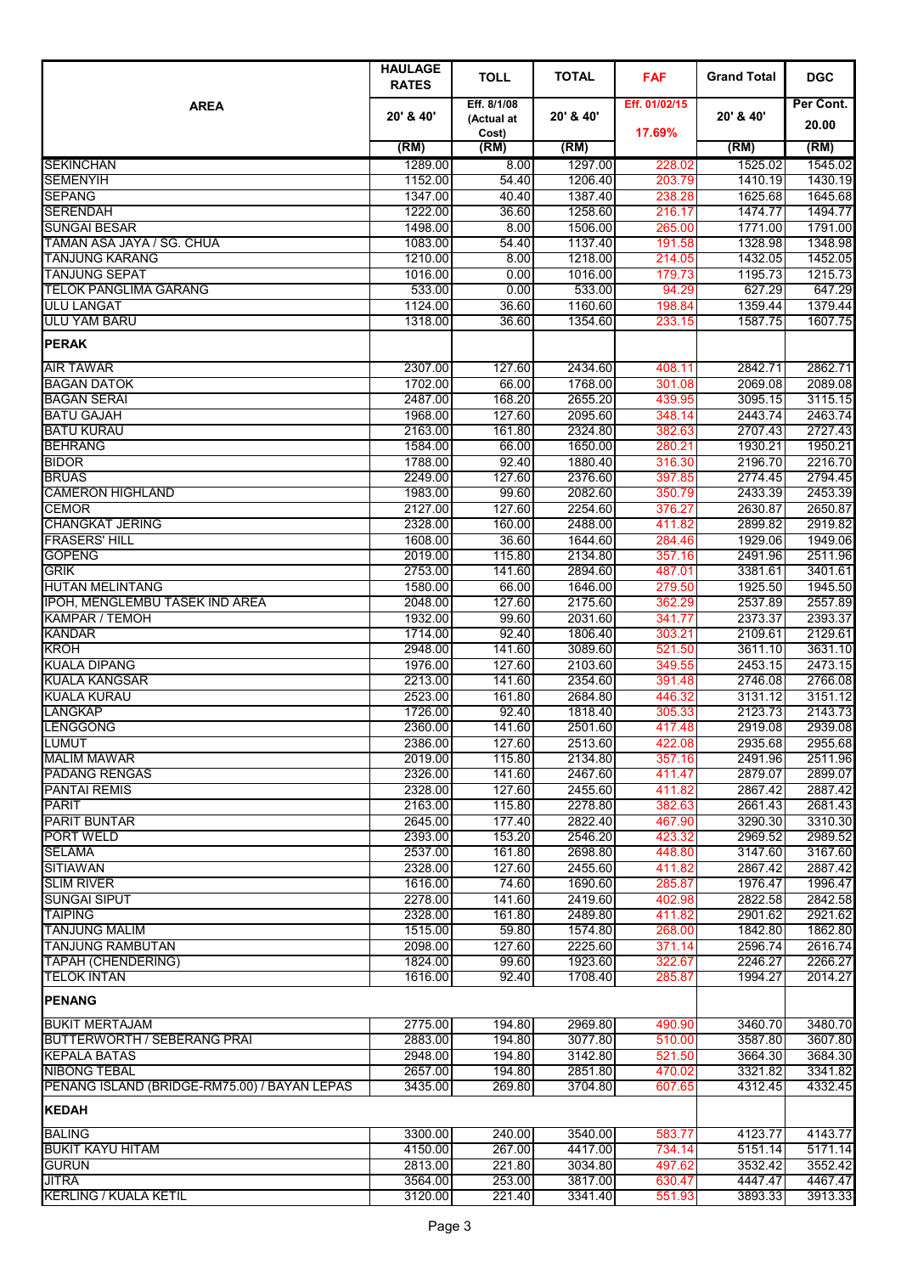|                                                              | <b>HAULAGE</b><br><b>RATES</b> | <b>TOLL</b>               | <b>TOTAL</b>       | <b>FAF</b>       | <b>Grand Total</b> | <b>DGC</b>         |
|--------------------------------------------------------------|--------------------------------|---------------------------|--------------------|------------------|--------------------|--------------------|
| <b>AREA</b>                                                  | 20' & 40'                      | Eff. 8/1/08<br>(Actual at | 20' & 40'          | Eff. 01/02/15    | 20' & 40'          | Per Cont.          |
|                                                              |                                | Cost)                     |                    | 17.69%           |                    | 20.00              |
|                                                              | (RM)                           | (RM)                      | (RM)               |                  | (RM)               | (RM)               |
| <b>SEKINCHAN</b>                                             | 1289.00                        | 8.00                      | 1297.00            | 228.02           | 1525.02            | 1545.02            |
| <b>SEMENYIH</b><br><b>SEPANG</b>                             | 1152.00<br>1347.00             | 54.40<br>40.40            | 1206.40<br>1387.40 | 203.79<br>238.28 | 1410.19<br>1625.68 | 1430.19<br>1645.68 |
| <b>SERENDAH</b>                                              | 1222.00                        | 36.60                     | 1258.60            | 216.17           | 1474.77            | 1494.77            |
| <b>SUNGAI BESAR</b>                                          | 1498.00                        | 8.00                      | 1506.00            | 265.00           | 1771.00            | 1791.00            |
| TAMAN ASA JAYA / SG. CHUA                                    | 1083.00                        | 54.40                     | 1137.40            | 191.58           | 1328.98            | 1348.98            |
| <b>TANJUNG KARANG</b>                                        | 1210.00                        | 8.00                      | 1218.00            | 214.05           | 1432.05            | 1452.05            |
| <b>TANJUNG SEPAT</b>                                         | 1016.00                        | 0.00                      | 1016.00            | 179.73           | 1195.73            | 1215.73            |
| <b>TELOK PANGLIMA GARANG</b>                                 | 533.00                         | 0.00                      | 533.00             | 94.29            | 627.29             | 647.29             |
| <b>ULU LANGAT</b><br><b>ULU YAM BARU</b>                     | 1124.00                        | 36.60<br>36.60            | 1160.60<br>1354.60 | 198.84           | 1359.44<br>1587.75 | 1379.44<br>1607.75 |
| <b>PERAK</b>                                                 | 1318.00                        |                           |                    | 233.15           |                    |                    |
|                                                              |                                |                           |                    |                  | 2842.71            |                    |
| <b>AIR TAWAR</b><br><b>BAGAN DATOK</b>                       | 2307.00<br>1702.00             | 127.60<br>66.00           | 2434.60<br>1768.00 | 408.11<br>301.08 | 2069.08            | 2862.71<br>2089.08 |
| <b>BAGAN SERAI</b>                                           | 2487.00                        | 168.20                    | 2655.20            | 439.95           | 3095.15            | 3115.15            |
| <b>BATU GAJAH</b>                                            | 1968.00                        | 127.60                    | 2095.60            | 348.14           | 2443.74            | 2463.74            |
| <b>BATU KURAU</b>                                            | 2163.00                        | 161.80                    | 2324.80            | 382.63           | 2707.43            | 2727.43            |
| <b>BEHRANG</b>                                               | 1584.00                        | 66.00                     | 1650.00            | 280.21           | 1930.21            | 1950.21            |
| <b>BIDOR</b>                                                 | 1788.00                        | 92.40                     | 1880.40            | 316.30           | 2196.70            | 2216.70            |
| <b>BRUAS</b>                                                 | 2249.00                        | 127.60                    | 2376.60            | 397.85           | 2774.45            | 2794.45            |
| <b>CAMERON HIGHLAND</b>                                      | 1983.00                        | 99.60<br>127.60           | 2082.60<br>2254.60 | 350.79           | 2433.39            | 2453.39            |
| <b>CEMOR</b><br><b>CHANGKAT JERING</b>                       | 2127.00<br>2328.00             | 160.00                    | 2488.00            | 376.27<br>411.82 | 2630.87<br>2899.82 | 2650.87<br>2919.82 |
| <b>FRASERS' HILL</b>                                         | 1608.00                        | 36.60                     | 1644.60            | 284.46           | 1929.06            | 1949.06            |
| <b>GOPENG</b>                                                | 2019.00                        | 115.80                    | 2134.80            | 357.16           | 2491.96            | 2511.96            |
| <b>GRIK</b>                                                  | 2753.00                        | 141.60                    | 2894.60            | 487.01           | 3381.61            | 3401.61            |
| <b>HUTAN MELINTANG</b>                                       | 1580.00                        | 66.00                     | 1646.00            | 279.50           | 1925.50            | 1945.50            |
| IPOH, MENGLEMBU TASEK IND AREA                               | 2048.00                        | 127.60                    | 2175.60            | 362.29           | 2537.89            | 2557.89            |
| <b>KAMPAR / TEMOH</b>                                        | 1932.00                        | 99.60                     | 2031.60            | 341.77           | 2373.37            | 2393.37            |
| <b>KANDAR</b>                                                | 1714.00                        | 92.40<br>141.60           | 1806.40            | 303.21           | 2109.61            | 2129.61            |
| <b>KROH</b><br><b>KUALA DIPANG</b>                           | 2948.00<br>1976.00             | 127.60                    | 3089.60<br>2103.60 | 521.50<br>349.55 | 3611.10<br>2453.15 | 3631.10<br>2473.15 |
| <b>KUALA KANGSAR</b>                                         | 2213.00                        | 141.60                    | 2354.60            | 391.48           | 2746.08            | 2766.08            |
| <b>KUALA KURAU</b>                                           | 2523.00                        | 161.80                    | 2684.80            | 446.32           | 3131.12            | 3151.12            |
| <b>LANGKAP</b>                                               | 1726.00                        | 92.40                     | 1818.40            | 305.33           | 2123.73            | 2143.73            |
| <b>LENGGONG</b>                                              | 2360.00                        | 141.60                    | 2501.60            | 417.48           | 2919.08            | 2939.08            |
| <b>LUMUT</b>                                                 | 2386.00                        | 127.60                    | 2513.60            | 422.08           | 2935.68            | 2955.68            |
| <b>MALIM MAWAR</b>                                           | 2019.00                        | 115.80                    | 2134.80            | 357.16           | 2491.96            | 2511.96            |
| <b>PADANG RENGAS</b><br><b>PANTAI REMIS</b>                  | 2326.00<br>2328.00             | 141.60<br>127.60          | 2467.60<br>2455.60 | 411.47<br>411.82 | 2879.07<br>2867.42 | 2899.07<br>2887.42 |
| <b>PARIT</b>                                                 | 2163.00                        | 115.80                    | 2278.80            | 382.63           | 2661.43            | 2681.43            |
| <b>PARIT BUNTAR</b>                                          | 2645.00                        | 177.40                    | 2822.40            | 467.90           | 3290.30            | 3310.30            |
| <b>PORT WELD</b>                                             | 2393.00                        | 153.20                    | 2546.20            | 423.32           | 2969.52            | 2989.52            |
| <b>SELAMA</b>                                                | 2537.00                        | 161.80                    | 2698.80            | 448.80           | 3147.60            | 3167.60            |
| <b>SITIAWAN</b>                                              | 2328.00                        | 127.60                    | 2455.60            | 411.82           | 2867.42            | 2887.42            |
| <b>SLIM RIVER</b>                                            | 1616.00                        | 74.60                     | 1690.60            | 285.87           | 1976.47            | 1996.47            |
| <b>SUNGAI SIPUT</b><br><b>TAIPING</b>                        | 2278.00<br>2328.00             | 141.60<br>161.80          | 2419.60<br>2489.80 | 402.98<br>411.82 | 2822.58<br>2901.62 | 2842.58<br>2921.62 |
| <b>TANJUNG MALIM</b>                                         | 1515.00                        | 59.80                     | 1574.80            | 268.00           | 1842.80            | 1862.80            |
| <b>TANJUNG RAMBUTAN</b>                                      | 2098.00                        | 127.60                    | 2225.60            | 371.14           | 2596.74            | 2616.74            |
| <b>TAPAH (CHENDERING)</b>                                    | 1824.00                        | 99.60                     | 1923.60            | 322.67           | 2246.27            | 2266.27            |
| <b>TELOK INTAN</b>                                           | 1616.00                        | 92.40                     | 1708.40            | 285.87           | 1994.27            | 2014.27            |
| <b>PENANG</b>                                                |                                |                           |                    |                  |                    |                    |
| <b>BUKIT MERTAJAM</b>                                        | 2775.00                        | 194.80                    | 2969.80            | 490.90           | 3460.70            | 3480.70            |
| <b>BUTTERWORTH / SEBERANG PRAI</b>                           | 2883.00                        | 194.80                    | 3077.80            | 510.00           | 3587.80            | 3607.80            |
| <b>KEPALA BATAS</b>                                          | 2948.00                        | 194.80                    | 3142.80            | 521.50           | 3664.30            | 3684.30            |
| <b>NIBONG TEBAL</b>                                          | 2657.00                        | 194.80                    | 2851.80            | 470.02           | 3321.82            | 3341.82            |
| PENANG ISLAND (BRIDGE-RM75.00) / BAYAN LEPAS<br><b>KEDAH</b> | 3435.00                        | 269.80                    | 3704.80            | 607.65           | 4312.45            | 4332.45            |
|                                                              |                                |                           |                    |                  |                    |                    |
| <b>BALING</b><br><b>BUKIT KAYU HITAM</b>                     | 3300.00<br>4150.00             | 240.00<br>267.00          | 3540.00<br>4417.00 | 583.77<br>734.14 | 4123.77<br>5151.14 | 4143.77<br>5171.14 |
| <b>GURUN</b>                                                 | 2813.00                        | 221.80                    | 3034.80            | 497.62           | 3532.42            | 3552.42            |
| <b>JITRA</b>                                                 | 3564.00                        | 253.00                    | 3817.00            | 630.47           | 4447.47            | 4467.47            |
| <b>KERLING / KUALA KETIL</b>                                 | 3120.00                        | 221.40                    | 3341.40            | 551.93           | 3893.33            | 3913.33            |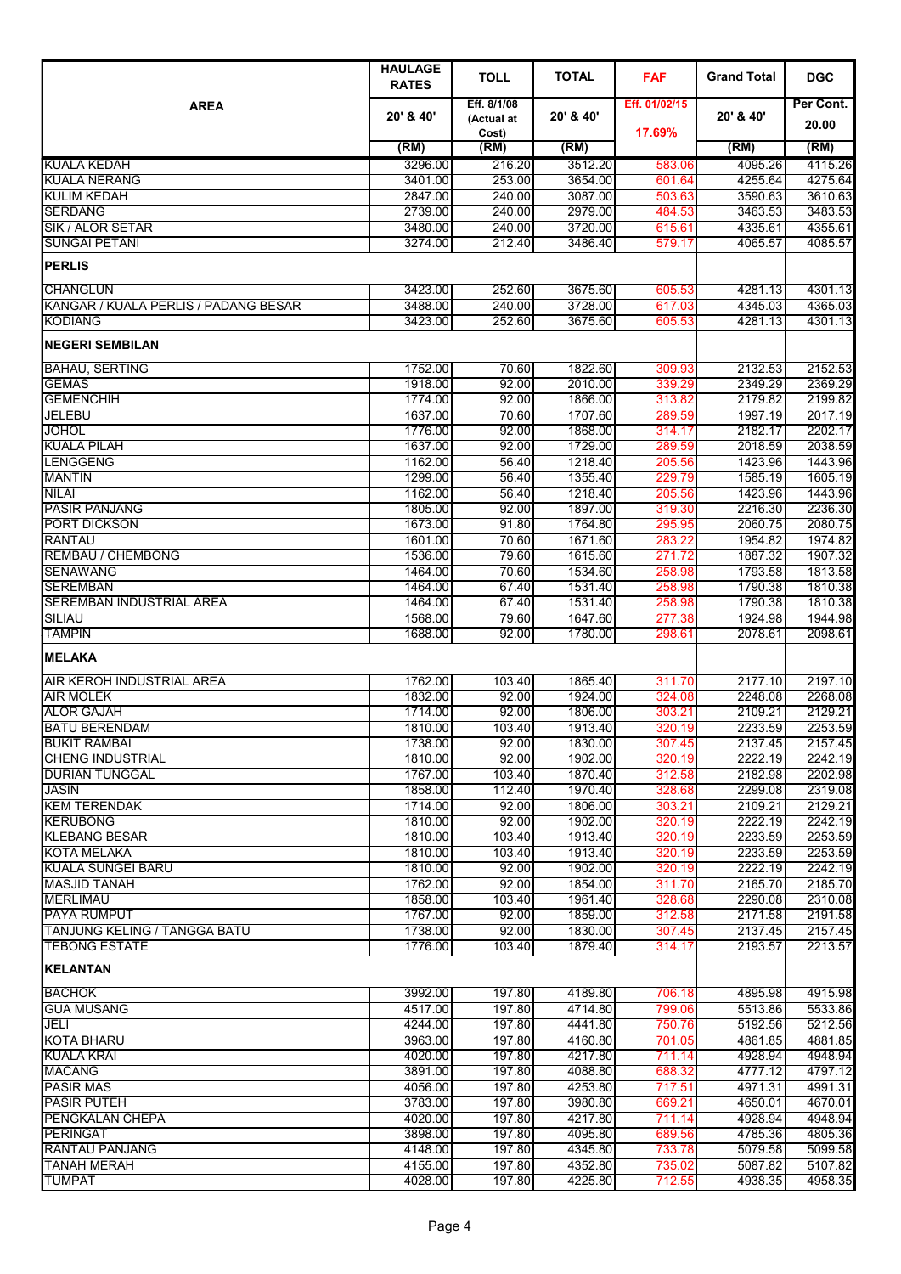|                                           | <b>HAULAGE</b><br><b>RATES</b> | <b>TOLL</b>         | <b>TOTAL</b>       | <b>FAF</b>       | <b>Grand Total</b> | <b>DGC</b>         |
|-------------------------------------------|--------------------------------|---------------------|--------------------|------------------|--------------------|--------------------|
| <b>AREA</b>                               | 20' & 40'                      | Eff. 8/1/08         | 20' & 40'          | Eff. 01/02/15    | 20' & 40'          | Per Cont.          |
|                                           |                                | (Actual at<br>Cost) |                    | 17.69%           |                    | 20.00              |
|                                           | (RM)                           | (RM)                | (RM)               |                  | (RM)               | (RM)               |
| <b>KUALA KEDAH</b>                        | 3296.00                        | 216.20              | 3512.20            | 583.06           | 4095.26            | 4115.26            |
| <b>KUALA NERANG</b>                       | 3401.00                        | 253.00              | 3654.00            | 601.64           | 4255.64            | 4275.64            |
| <b>KULIM KEDAH</b><br><b>SERDANG</b>      | 2847.00<br>2739.00             | 240.00<br>240.00    | 3087.00<br>2979.00 | 503.63           | 3590.63<br>3463.53 | 3610.63<br>3483.53 |
| SIK / ALOR SETAR                          | 3480.00                        | 240.00              | 3720.00            | 484.53<br>615.61 | 4335.61            | 4355.61            |
| <b>SUNGAI PETANI</b>                      | 3274.00                        | 212.40              | 3486.40            | 579.17           | 4065.57            | 4085.57            |
| <b>PERLIS</b>                             |                                |                     |                    |                  |                    |                    |
| <b>CHANGLUN</b>                           | 3423.00                        | 252.60              | 3675.60            | 605.53           | 4281.13            | 4301.13            |
| KANGAR / KUALA PERLIS / PADANG BESAR      | 3488.00                        | 240.00              | 3728.00            | 617.03           | 4345.03            | 4365.03            |
| <b>KODIANG</b>                            | 3423.00                        | 252.60              | 3675.60            | 605.53           | 4281.13            | 4301.13            |
| <b>NEGERI SEMBILAN</b>                    |                                |                     |                    |                  |                    |                    |
| <b>BAHAU, SERTING</b>                     | 1752.00                        | 70.60               | 1822.60            | 309.93           | 2132.53            | 2152.53            |
| <b>GEMAS</b>                              | 1918.00                        | 92.00               | 2010.00            | 339.29           | 2349.29            | 2369.29            |
| <b>GEMENCHIH</b><br><b>JELEBU</b>         | 1774.00<br>1637.00             | 92.00<br>70.60      | 1866.00<br>1707.60 | 313.82<br>289.59 | 2179.82<br>1997.19 | 2199.82<br>2017.19 |
| JOHOL                                     | 1776.00                        | 92.00               | 1868.00            | 314.17           | 2182.17            | 2202.17            |
| <b>KUALA PILAH</b>                        | 1637.00                        | 92.00               | 1729.00            | 289.59           | 2018.59            | 2038.59            |
| <b>LENGGENG</b>                           | 1162.00                        | 56.40               | 1218.40            | 205.56           | 1423.96            | 1443.96            |
| <b>MANTIN</b>                             | 1299.00                        | 56.40               | 1355.40            | 229.79           | 1585.19            | 1605.19            |
| NILAI                                     | 1162.00                        | 56.40               | 1218.40            | 205.56           | 1423.96            | 1443.96            |
| <b>PASIR PANJANG</b>                      | 1805.00                        | 92.00               | 1897.00            | 319.30           | 2216.30            | 2236.30            |
| PORT DICKSON<br><b>RANTAU</b>             | 1673.00<br>1601.00             | 91.80<br>70.60      | 1764.80<br>1671.60 | 295.95<br>283.22 | 2060.75<br>1954.82 | 2080.75<br>1974.82 |
| <b>REMBAU / CHEMBONG</b>                  | 1536.00                        | 79.60               | 1615.60            | 271.72           | 1887.32            | 1907.32            |
| <b>SENAWANG</b>                           | 1464.00                        | 70.60               | 1534.60            | 258.98           | 1793.58            | 1813.58            |
| <b>SEREMBAN</b>                           | 1464.00                        | 67.40               | 1531.40            | 258.98           | 1790.38            | 1810.38            |
| <b>SEREMBAN INDUSTRIAL AREA</b>           | 1464.00                        | 67.40               | 1531.40            | 258.98           | 1790.38            | 1810.38            |
| <b>SILIAU</b>                             | 1568.00                        | 79.60               | 1647.60            | 277.38           | 1924.98            | 1944.98            |
| <b>TAMPIN</b>                             | 1688.00                        | 92.00               | 1780.00            | 298.61           | 2078.61            | 2098.61            |
| <b>MELAKA</b>                             |                                |                     |                    |                  |                    |                    |
| AIR KEROH INDUSTRIAL AREA                 | 1762.00                        | 103.40              | 1865.40            | 311.70           | 2177.10            | 2197.10            |
| <b>AIR MOLEK</b>                          | 1832.00                        | 92.00               | 1924.00            | 324.08           | 2248.08            | 2268.08            |
| <b>ALOR GAJAH</b><br><b>BATU BERENDAM</b> | 1714.00<br>1810.00             | 92.00<br>103.40     | 1806.00<br>1913.40 | 303.21<br>320.19 | 2109.21<br>2233.59 | 2129.21<br>2253.59 |
| <b>BUKIT RAMBAI</b>                       | 1738.00                        | 92.00               | 1830.00            | 307.45           | 2137.45            | 2157.45            |
| <b>ICHENG INDUSTRIAL</b>                  | 1810.00                        | 92.00               | 1902.00            | 320.19           | 2222.19            | 2242.19            |
| <b>DURIAN TUNGGAL</b>                     | 1767.00                        | 103.40              | 1870.40            | 312.58           | 2182.98            | 2202.98            |
| <b>JASIN</b>                              | 1858.00                        | 112.40              | 1970.40            | 328.68           | 2299.08            | 2319.08            |
| <b>KEM TERENDAK</b>                       | 1714.00                        | 92.00               | 1806.00            | 303.21           | 2109.21            | 2129.21            |
| <b>KERUBONG</b>                           | 1810.00                        | 92.00               | 1902.00            | 320.19           | 2222.19            | 2242.19            |
| <b>KLEBANG BESAR</b><br>KOTA MELAKA       | 1810.00<br>1810.00             | 103.40<br>103.40    | 1913.40<br>1913.40 | 320.19<br>320.19 | 2233.59<br>2233.59 | 2253.59<br>2253.59 |
| <b>KUALA SUNGEI BARU</b>                  | 1810.00                        | 92.00               | 1902.00            | 320.19           | 2222.19            | 2242.19            |
| <b>MASJID TANAH</b>                       | 1762.00                        | 92.00               | 1854.00            | 311.70           | 2165.70            | 2185.70            |
| <b>MERLIMAU</b>                           | 1858.00                        | 103.40              | 1961.40            | 328.68           | 2290.08            | 2310.08            |
| <b>PAYA RUMPUT</b>                        | 1767.00                        | 92.00               | 1859.00            | 312.58           | 2171.58            | 2191.58            |
| TANJUNG KELING / TANGGA BATU              | 1738.00                        | 92.00               | 1830.00            | 307.45           | 2137.45            | 2157.45            |
| <b>TEBONG ESTATE</b>                      | 1776.00                        | 103.40              | 1879.40            | 314.17           | 2193.57            | 2213.57            |
| <b>KELANTAN</b><br><b>BACHOK</b>          | 3992.00                        |                     | 4189.80            |                  | 4895.98            |                    |
| <b>GUA MUSANG</b>                         | 4517.00                        | 197.80<br>197.80    | 4714.80            | 706.18<br>799.06 | 5513.86            | 4915.98<br>5533.86 |
| JELI                                      | 4244.00                        | 197.80              | 4441.80            | 750.76           | 5192.56            | 5212.56            |
| <b>KOTA BHARU</b>                         | 3963.00                        | 197.80              | 4160.80            | 701.05           | 4861.85            | 4881.85            |
| <b>KUALA KRAI</b>                         | 4020.00                        | 197.80              | 4217.80            | 711.14           | 4928.94            | 4948.94            |
| <b>MACANG</b>                             | 3891.00                        | 197.80              | 4088.80            | 688.32           | 4777.12            | 4797.12            |
| <b>PASIR MAS</b>                          | 4056.00                        | 197.80              | 4253.80            | 717.51           | 4971.31            | 4991.31            |
| <b>PASIR PUTEH</b>                        | 3783.00                        | 197.80              | 3980.80            | 669.21           | 4650.01            | 4670.01            |
| PENGKALAN CHEPA<br><b>PERINGAT</b>        | 4020.00<br>3898.00             | 197.80<br>197.80    | 4217.80<br>4095.80 | 711.14<br>689.56 | 4928.94<br>4785.36 | 4948.94<br>4805.36 |
| <b>RANTAU PANJANG</b>                     | 4148.00                        | 197.80              | 4345.80            | 733.78           | 5079.58            | 5099.58            |
| <b>TANAH MERAH</b>                        | 4155.00                        | 197.80              | 4352.80            | 735.02           | 5087.82            | 5107.82            |
| <b>TUMPAT</b>                             | 4028.00                        | 197.80              | 4225.80            | 712.55           | 4938.35            | 4958.35            |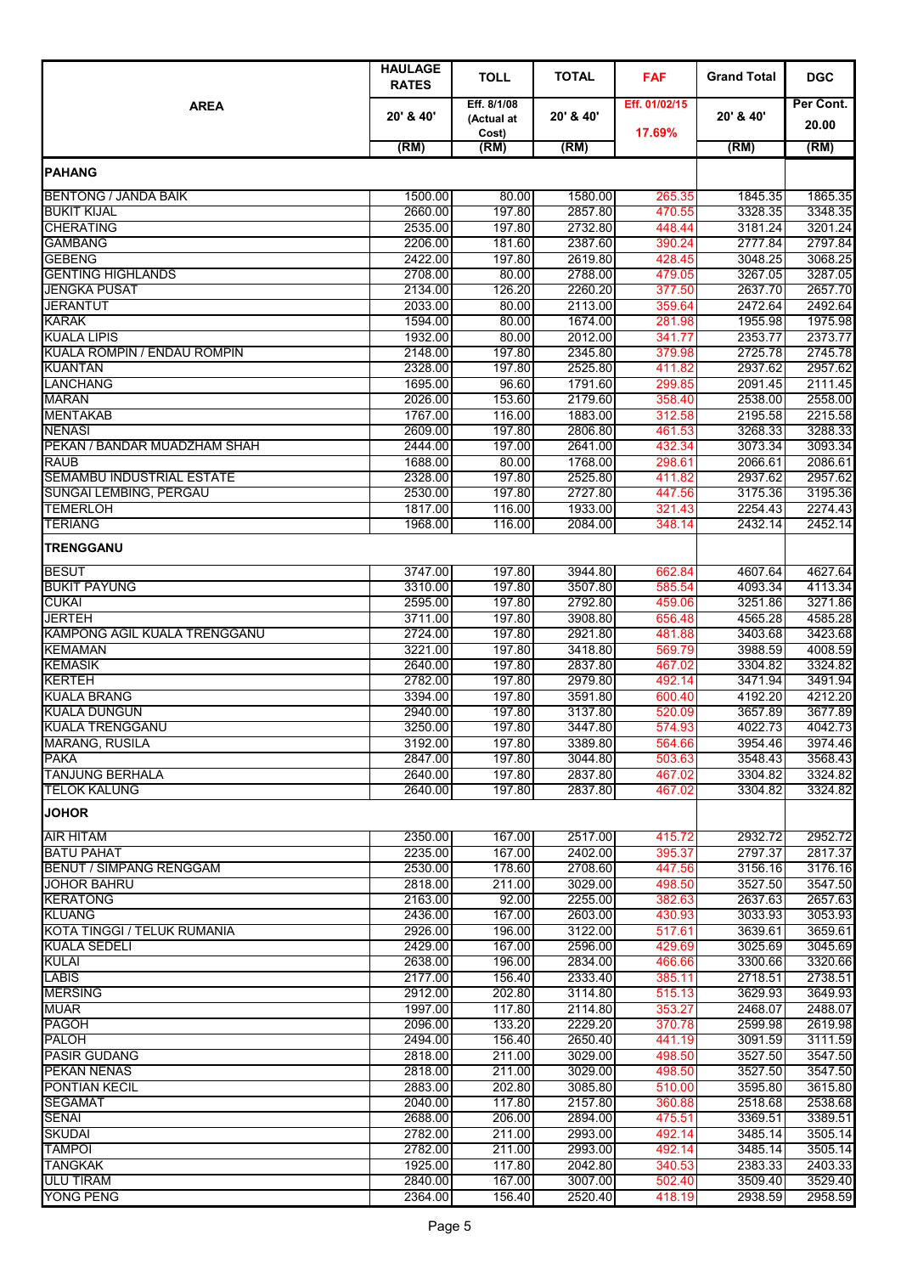|                                                   | <b>HAULAGE</b><br><b>RATES</b> | <b>TOLL</b>                        | <b>TOTAL</b>       | <b>FAF</b>              | <b>Grand Total</b> | <b>DGC</b>         |
|---------------------------------------------------|--------------------------------|------------------------------------|--------------------|-------------------------|--------------------|--------------------|
| <b>AREA</b>                                       | 20' & 40'                      | Eff. 8/1/08<br>(Actual at<br>Cost) | 20' & 40'          | Eff. 01/02/15<br>17.69% | 20' & 40'          | Per Cont.<br>20.00 |
|                                                   | (RM)                           | (RM)                               | (RM)               |                         | (RM)               | (RM)               |
| <b>IPAHANG</b>                                    |                                |                                    |                    |                         |                    |                    |
|                                                   |                                |                                    |                    |                         |                    |                    |
| <b>BENTONG / JANDA BAIK</b><br><b>BUKIT KIJAL</b> | 1500.00<br>2660.00             | 80.00<br>197.80                    | 1580.00<br>2857.80 | 265.35<br>470.55        | 1845.35<br>3328.35 | 1865.35<br>3348.35 |
| <b>CHERATING</b>                                  | 2535.00                        | 197.80                             | 2732.80            | 448.44                  | 3181.24            | 3201.24            |
| <b>GAMBANG</b>                                    | 2206.00                        | 181.60                             | 2387.60            | 390.24                  | 2777.84            | 2797.84            |
| <b>GEBENG</b>                                     | 2422.00                        | 197.80                             | 2619.80            | 428.45                  | 3048.25            | 3068.25            |
| <b>GENTING HIGHLANDS</b>                          | 2708.00                        | 80.00                              | 2788.00            | 479.05                  | 3267.05            | 3287.05            |
| <b>JENGKA PUSAT</b>                               | 2134.00                        | 126.20                             | 2260.20            | 377.50                  | 2637.70            | 2657.70            |
| JERANTUT<br><b>KARAK</b>                          | 2033.00<br>1594.00             | 80.00<br>80.00                     | 2113.00<br>1674.00 | 359.64<br>281.98        | 2472.64<br>1955.98 | 2492.64<br>1975.98 |
| <b>KUALA LIPIS</b>                                | 1932.00                        | 80.00                              | 2012.00            | 341.77                  | 2353.77            | 2373.77            |
| <b>KUALA ROMPIN / ENDAU ROMPIN</b>                | 2148.00                        | 197.80                             | 2345.80            | 379.98                  | 2725.78            | 2745.78            |
| <b>KUANTAN</b>                                    | 2328.00                        | 197.80                             | 2525.80            | 411.82                  | 2937.62            | 2957.62            |
| <b>LANCHANG</b>                                   | 1695.00                        | 96.60                              | 1791.60            | 299.85                  | 2091.45            | 2111.45            |
| <b>MARAN</b>                                      | 2026.00                        | 153.60                             | 2179.60            | 358.40                  | 2538.00            | 2558.00            |
| <b>MENTAKAB</b>                                   | 1767.00                        | 116.00                             | 1883.00            | 312.58                  | 2195.58            | 2215.58            |
| <b>NENASI</b><br>PEKAN / BANDAR MUADZHAM SHAH     | 2609.00<br>2444.00             | 197.80<br>197.00                   | 2806.80<br>2641.00 | 461.53<br>432.34        | 3268.33<br>3073.34 | 3288.33<br>3093.34 |
| <b>RAUB</b>                                       | 1688.00                        | 80.00                              | 1768.00            | 298.61                  | 2066.61            | 2086.61            |
| SEMAMBU INDUSTRIAL ESTATE                         | 2328.00                        | 197.80                             | 2525.80            | 411.82                  | 2937.62            | 2957.62            |
| SUNGAI LEMBING, PERGAU                            | 2530.00                        | 197.80                             | 2727.80            | 447.56                  | 3175.36            | 3195.36            |
| <b>TEMERLOH</b>                                   | 1817.00                        | 116.00                             | 1933.00            | 321.43                  | 2254.43            | 2274.43            |
| <b>TERIANG</b>                                    | 1968.00                        | 116.00                             | 2084.00            | 348.14                  | 2432.14            | 2452.14            |
| <b>TRENGGANU</b>                                  |                                |                                    |                    |                         |                    |                    |
| <b>BESUT</b>                                      | 3747.00                        | 197.80                             | 3944.80            | 662.84                  | 4607.64            | 4627.64            |
| <b>BUKIT PAYUNG</b>                               | 3310.00                        | 197.80                             | 3507.80            | 585.54                  | 4093.34            | 4113.34            |
| <b>CUKAI</b><br><b>JERTEH</b>                     | 2595.00<br>3711.00             | 197.80<br>197.80                   | 2792.80<br>3908.80 | 459.06<br>656.48        | 3251.86<br>4565.28 | 3271.86<br>4585.28 |
| KAMPONG AGIL KUALA TRENGGANU                      | 2724.00                        | 197.80                             | 2921.80            | 481.88                  | 3403.68            | 3423.68            |
| <b>KEMAMAN</b>                                    | 3221.00                        | 197.80                             | 3418.80            | 569.79                  | 3988.59            | 4008.59            |
| <b>KEMASIK</b>                                    | 2640.00                        | 197.80                             | 2837.80            | 467.02                  | 3304.82            | 3324.82            |
| <b>KERTEH</b>                                     | 2782.00                        | 197.80                             | 2979.80            | 492.14                  | 3471.94            | 3491.94            |
| <b>KUALA BRANG</b>                                | 3394.00                        | 197.80                             | 3591.80            | 600.40                  | 4192.20            | 4212.20            |
| <b>KUALA DUNGUN</b>                               | 2940.00                        | 197.80                             | 3137.80            | 520.09                  | 3657.89            | 3677.89            |
| <b>KUALA TRENGGANU</b><br><b>MARANG, RUSILA</b>   | 3250.00<br>3192.00             | 197.80<br>197.80                   | 3447.80<br>3389.80 | 574.93<br>564.66        | 4022.73<br>3954.46 | 4042.73<br>3974.46 |
| <b>PAKA</b>                                       | 2847.00                        | 197.80                             | 3044.80            | 503.63                  | 3548.43            | 3568.43            |
| <b>TANJUNG BERHALA</b>                            | 2640.00                        | 197.80                             | 2837.80            | 467.02                  | 3304.82            | 3324.82            |
| <b>TELOK KALUNG</b>                               | 2640.00                        | 197.80                             | 2837.80            | 467.02                  | 3304.82            | 3324.82            |
| <b>JOHOR</b>                                      |                                |                                    |                    |                         |                    |                    |
| <b>AIR HITAM</b>                                  | 2350.00                        | 167.00                             | 2517.00            | 415.72                  | 2932.72            | 2952.72            |
| <b>BATU PAHAT</b>                                 | 2235.00                        | 167.00                             | 2402.00            | 395.37                  | 2797.37            | 2817.37            |
| BENUT / SIMPANG RENGGAM                           | 2530.00<br>2818.00             | 178.60<br>211.00                   | 2708.60<br>3029.00 | 447.56<br>498.50        | 3156.16            | 3176.16<br>3547.50 |
| <b>JOHOR BAHRU</b><br><b>KERATONG</b>             | 2163.00                        | 92.00                              | 2255.00            | 382.63                  | 3527.50<br>2637.63 | 2657.63            |
| <b>KLUANG</b>                                     | 2436.00                        | 167.00                             | 2603.00            | 430.93                  | 3033.93            | 3053.93            |
| <b>KOTA TINGGI / TELUK RUMANIA</b>                | 2926.00                        | 196.00                             | 3122.00            | 517.61                  | 3639.61            | 3659.61            |
| <b>KUALA SEDELI</b>                               | 2429.00                        | 167.00                             | 2596.00            | 429.69                  | 3025.69            | 3045.69            |
| <b>KULAI</b>                                      | 2638.00                        | 196.00                             | 2834.00            | 466.66                  | 3300.66            | 3320.66            |
| <b>LABIS</b>                                      | 2177.00                        | 156.40                             | 2333.40            | 385.11                  | 2718.51            | 2738.51            |
| <b>MERSING</b><br><b>MUAR</b>                     | 2912.00<br>1997.00             | 202.80<br>117.80                   | 3114.80<br>2114.80 | 515.13                  | 3629.93<br>2468.07 | 3649.93<br>2488.07 |
| <b>PAGOH</b>                                      | 2096.00                        | 133.20                             | 2229.20            | 353.27<br>370.78        | 2599.98            | 2619.98            |
| <b>PALOH</b>                                      | 2494.00                        | 156.40                             | 2650.40            | 441.19                  | 3091.59            | 3111.59            |
| <b>PASIR GUDANG</b>                               | 2818.00                        | 211.00                             | 3029.00            | 498.50                  | 3527.50            | 3547.50            |
| <b>PEKAN NENAS</b>                                | 2818.00                        | 211.00                             | 3029.00            | 498.50                  | 3527.50            | 3547.50            |
| <b>PONTIAN KECIL</b>                              | 2883.00                        | 202.80                             | 3085.80            | 510.00                  | 3595.80            | 3615.80            |
| <b>SEGAMAT</b>                                    | 2040.00                        | 117.80                             | 2157.80            | 360.88                  | 2518.68            | 2538.68            |
| <b>SENAI</b><br><b>SKUDAI</b>                     | 2688.00<br>2782.00             | 206.00<br>211.00                   | 2894.00<br>2993.00 | 475.51<br>492.14        | 3369.51<br>3485.14 | 3389.51<br>3505.14 |
| <b>TAMPOI</b>                                     | 2782.00                        | 211.00                             | 2993.00            | 492.14                  | 3485.14            | 3505.14            |
| <b>TANGKAK</b>                                    | 1925.00                        | 117.80                             | 2042.80            | 340.53                  | 2383.33            | 2403.33            |
| <b>ULU TIRAM</b>                                  | 2840.00                        | 167.00                             | 3007.00            | 502.40                  | 3509.40            | 3529.40            |
| <b>YONG PENG</b>                                  | 2364.00                        | 156.40                             | 2520.40            | 418.19                  | 2938.59            | 2958.59            |